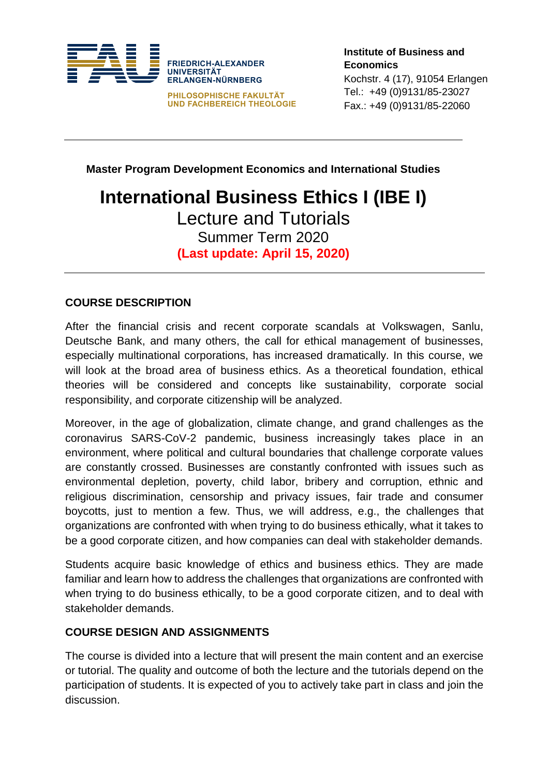

**Master Program Development Economics and International Studies**

# **International Business Ethics I (IBE I)** Lecture and Tutorials

Summer Term 2020 **(Last update: April 15, 2020)**

# **COURSE DESCRIPTION**

After the financial crisis and recent corporate scandals at Volkswagen, Sanlu, Deutsche Bank, and many others, the call for ethical management of businesses, especially multinational corporations, has increased dramatically. In this course, we will look at the broad area of business ethics. As a theoretical foundation, ethical theories will be considered and concepts like sustainability, corporate social responsibility, and corporate citizenship will be analyzed.

Moreover, in the age of globalization, climate change, and grand challenges as the coronavirus SARS-CoV-2 pandemic, business increasingly takes place in an environment, where political and cultural boundaries that challenge corporate values are constantly crossed. Businesses are constantly confronted with issues such as environmental depletion, poverty, child labor, bribery and corruption, ethnic and religious discrimination, censorship and privacy issues, fair trade and consumer boycotts, just to mention a few. Thus, we will address, e.g., the challenges that organizations are confronted with when trying to do business ethically, what it takes to be a good corporate citizen, and how companies can deal with stakeholder demands.

Students acquire basic knowledge of ethics and business ethics. They are made familiar and learn how to address the challenges that organizations are confronted with when trying to do business ethically, to be a good corporate citizen, and to deal with stakeholder demands.

#### **COURSE DESIGN AND ASSIGNMENTS**

The course is divided into a lecture that will present the main content and an exercise or tutorial. The quality and outcome of both the lecture and the tutorials depend on the participation of students. It is expected of you to actively take part in class and join the discussion.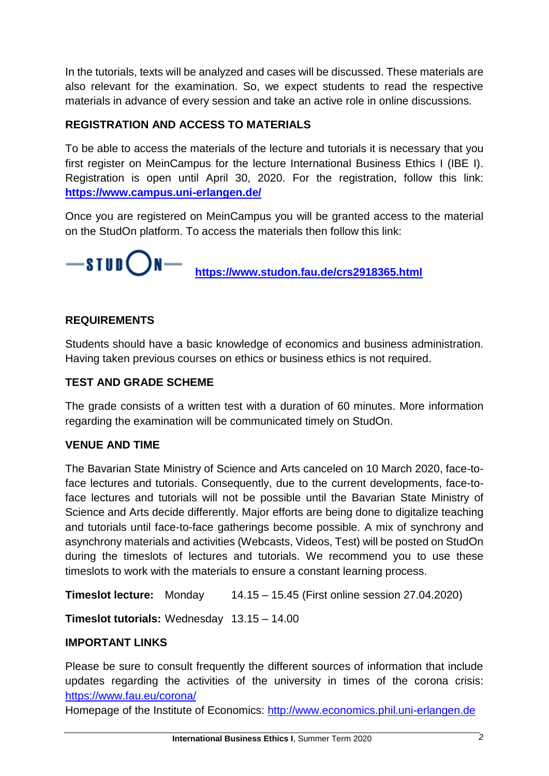In the tutorials, texts will be analyzed and cases will be discussed. These materials are also relevant for the examination. So, we expect students to read the respective materials in advance of every session and take an active role in online discussions.

## **REGISTRATION AND ACCESS TO MATERIALS**

To be able to access the materials of the lecture and tutorials it is necessary that you first register on MeinCampus for the lecture International Business Ethics I (IBE I). Registration is open until April 30, 2020. For the registration, follow this link: **<https://www.campus.uni-erlangen.de/>**

Once you are registered on MeinCampus you will be granted access to the material on the StudOn platform. To access the materials then follow this link:



 **<https://www.studon.fau.de/crs2918365.html>**

### **REQUIREMENTS**

Students should have a basic knowledge of economics and business administration. Having taken previous courses on ethics or business ethics is not required.

#### **TEST AND GRADE SCHEME**

The grade consists of a written test with a duration of 60 minutes. More information regarding the examination will be communicated timely on StudOn.

#### **VENUE AND TIME**

The Bavarian State Ministry of Science and Arts canceled on 10 March 2020, face-toface lectures and tutorials. Consequently, due to the current developments, face-toface lectures and tutorials will not be possible until the Bavarian State Ministry of Science and Arts decide differently. Major efforts are being done to digitalize teaching and tutorials until face-to-face gatherings become possible. A mix of synchrony and asynchrony materials and activities (Webcasts, Videos, Test) will be posted on StudOn during the timeslots of lectures and tutorials. We recommend you to use these timeslots to work with the materials to ensure a constant learning process.

**Timeslot lecture:** Monday 14.15 – 15.45 (First online session 27.04.2020)

**Timeslot tutorials:** Wednesday 13.15 – 14.00

#### **IMPORTANT LINKS**

Please be sure to consult frequently the different sources of information that include updates regarding the activities of the university in times of the corona crisis: <https://www.fau.eu/corona/>

Homepage of the Institute of Economics: [http://www.economics.phil.uni-erlangen.de](http://www.economics.phil.uni-erlangen.de/)